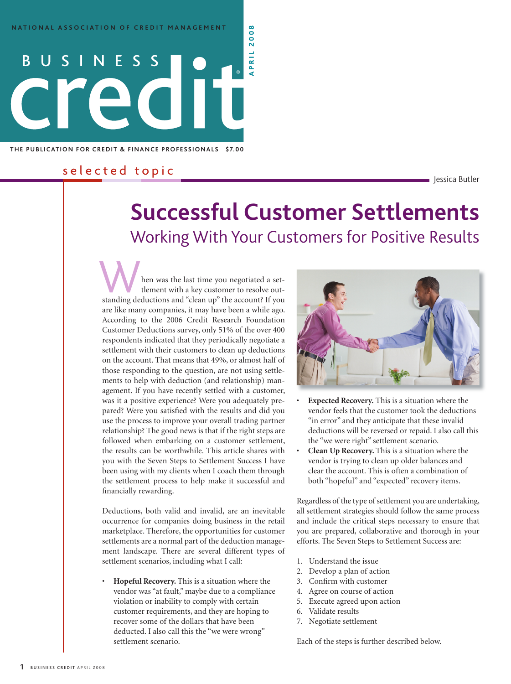**THE PUBLICATION FOR CREDIT & FINANCE PROFESSIONALS \$7.00** 

# s e l e c t e d t o p i c<br>Dessica Butler s essica Butler

# **Successful Customer Settlements** Working With Your Customers for Positive Results **<sup>a</sup> <sup>p</sup> <sup>r</sup> <sup>i</sup> <sup>l</sup> <sup>2</sup> <sup>0</sup> <sup>0</sup> <sup>8</sup>**

hen was the last time you negotiated a settlement with a key customer to resolve outstanding deductions and "clean up" the account? If you are like many companies, it may have been a while ago. According to the 2006 Credit Research Foundation Customer Deductions survey, only 51% of the over 400 respondents indicated that they periodically negotiate a settlement with their customers to clean up deductions on the account. That means that 49%, or almost half of those responding to the question, are not using settlements to help with deduction (and relationship) management. If you have recently settled with a customer, was it a positive experience? Were you adequately prepared? Were you satisfied with the results and did you use the process to improve your overall trading partner relationship? The good news is that if the right steps are followed when embarking on a customer settlement, the results can be worthwhile. This article shares with you with the Seven Steps to Settlement Success I have been using with my clients when I coach them through the settlement process to help make it successful and financially rewarding.

Deductions, both valid and invalid, are an inevitable occurrence for companies doing business in the retail marketplace. Therefore, the opportunities for customer settlements are a normal part of the deduction management landscape. There are several different types of settlement scenarios, including what I call:

• **Hopeful Recovery.** This is a situation where the vendor was "at fault," maybe due to a compliance violation or inability to comply with certain customer requirements, and they are hoping to recover some of the dollars that have been deducted. I also call this the "we were wrong" settlement scenario.



- **Expected Recovery.** This is a situation where the vendor feels that the customer took the deductions "in error" and they anticipate that these invalid deductions will be reversed or repaid. I also call this the "we were right" settlement scenario.
- **Clean Up Recovery.** This is a situation where the vendor is trying to clean up older balances and clear the account. This is often a combination of both "hopeful" and "expected" recovery items.

Regardless of the type of settlement you are undertaking, all settlement strategies should follow the same process and include the critical steps necessary to ensure that you are prepared, collaborative and thorough in your efforts. The Seven Steps to Settlement Success are:

- 1. Understand the issue
- 2. Develop a plan of action
- 3. Confirm with customer
- 4. Agree on course of action
- 5. Execute agreed upon action
- 6. Validate results
- 7. Negotiate settlement

Each of the steps is further described below.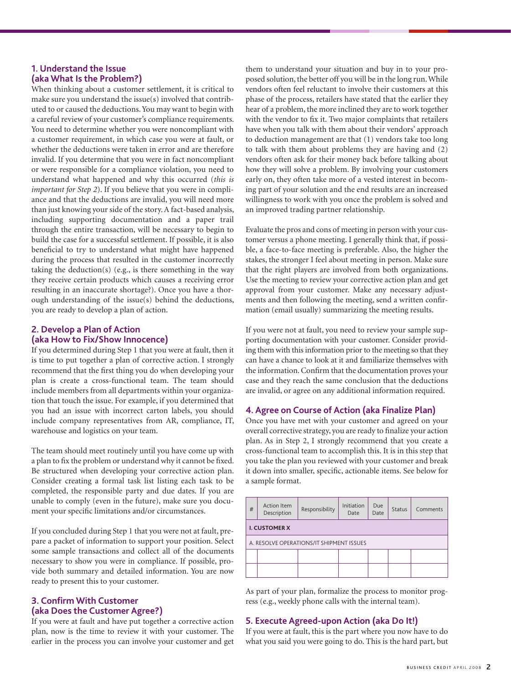### **1. Understand the Issue (aka What Is the Problem?)**

When thinking about a customer settlement, it is critical to make sure you understand the issue(s) involved that contributed to or caused the deductions. You may want to begin with a careful review of your customer's compliance requirements. You need to determine whether you were noncompliant with a customer requirement, in which case you were at fault, or whether the deductions were taken in error and are therefore invalid. If you determine that you were in fact noncompliant or were responsible for a compliance violation, you need to understand what happened and why this occurred (*this is important for Step 2*). If you believe that you were in compliance and that the deductions are invalid, you will need more than just knowing your side of the story. A fact-based analysis, including supporting documentation and a paper trail through the entire transaction, will be necessary to begin to build the case for a successful settlement. If possible, it is also beneficial to try to understand what might have happened during the process that resulted in the customer incorrectly taking the deduction(s) (e.g., is there something in the way they receive certain products which causes a receiving error resulting in an inaccurate shortage?). Once you have a thorough understanding of the issue(s) behind the deductions, you are ready to develop a plan of action.

## **2. Develop a Plan of Action (aka How to Fix/Show Innocence)**

If you determined during Step 1 that you were at fault, then it is time to put together a plan of corrective action. I strongly recommend that the first thing you do when developing your plan is create a cross-functional team. The team should include members from all departments within your organization that touch the issue. For example, if you determined that you had an issue with incorrect carton labels, you should include company representatives from AR, compliance, IT, warehouse and logistics on your team.

The team should meet routinely until you have come up with a plan to fix the problem or understand why it cannot be fixed. Be structured when developing your corrective action plan. Consider creating a formal task list listing each task to be completed, the responsible party and due dates. If you are unable to comply (even in the future), make sure you document your specific limitations and/or circumstances.

If you concluded during Step 1 that you were not at fault, prepare a packet of information to support your position. Select some sample transactions and collect all of the documents necessary to show you were in compliance. If possible, provide both summary and detailed information. You are now ready to present this to your customer.

### **3. Confirm With Customer (aka Does the Customer Agree?)**

If you were at fault and have put together a corrective action plan, now is the time to review it with your customer. The earlier in the process you can involve your customer and get them to understand your situation and buy in to your proposed solution, the better off you will be in the long run. While vendors often feel reluctant to involve their customers at this phase of the process, retailers have stated that the earlier they hear of a problem, the more inclined they are to work together with the vendor to fix it. Two major complaints that retailers have when you talk with them about their vendors' approach to deduction management are that (1) vendors take too long to talk with them about problems they are having and (2) vendors often ask for their money back before talking about how they will solve a problem. By involving your customers early on, they often take more of a vested interest in becoming part of your solution and the end results are an increased willingness to work with you once the problem is solved and an improved trading partner relationship.

Evaluate the pros and cons of meeting in person with your customer versus a phone meeting. I generally think that, if possible, a face-to-face meeting is preferable. Also, the higher the stakes, the stronger I feel about meeting in person. Make sure that the right players are involved from both organizations. Use the meeting to review your corrective action plan and get approval from your customer. Make any necessary adjustments and then following the meeting, send a written confirmation (email usually) summarizing the meeting results.

If you were not at fault, you need to review your sample supporting documentation with your customer. Consider providing them with this information prior to the meeting so that they can have a chance to look at it and familiarize themselves with the information. Confirm that the documentation proves your case and they reach the same conclusion that the deductions are invalid, or agree on any additional information required.

### **4. Agree on Course of Action (aka Finalize Plan)**

Once you have met with your customer and agreed on your overall corrective strategy, you are ready to finalize your action plan. As in Step 2, I strongly recommend that you create a cross-functional team to accomplish this. It is in this step that you take the plan you reviewed with your customer and break it down into smaller, specific, actionable items. See below for a sample format.

| #                                        | Action Item<br>Description | Responsibility | Initiation<br>Date | Due<br>Date | <b>Status</b> | Comments |  |
|------------------------------------------|----------------------------|----------------|--------------------|-------------|---------------|----------|--|
| <b>I. CUSTOMER X</b>                     |                            |                |                    |             |               |          |  |
| A. RESOLVE OPERATIONS/IT SHIPMENT ISSUES |                            |                |                    |             |               |          |  |
|                                          |                            |                |                    |             |               |          |  |
|                                          |                            |                |                    |             |               |          |  |

As part of your plan, formalize the process to monitor progress (e.g., weekly phone calls with the internal team).

### **5. Execute Agreed-upon Action (aka Do It!)**

If you were at fault, this is the part where you now have to do what you said you were going to do. This is the hard part, but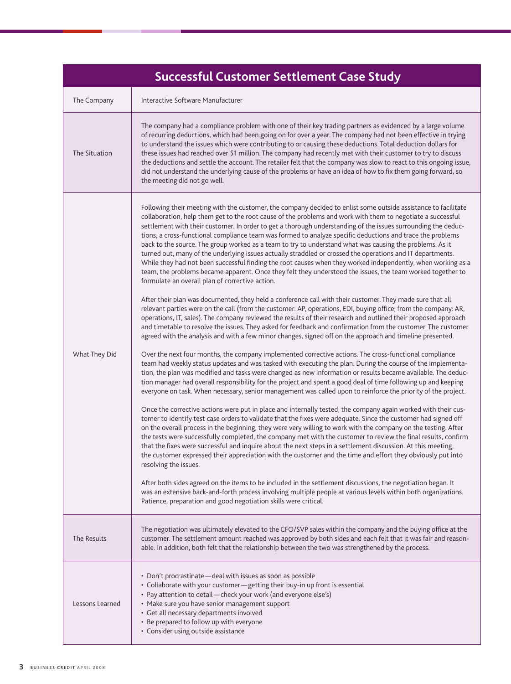| <b>Successful Customer Settlement Case Study</b> |                                                                                                                                                                                                                                                                                                                                                                                                                                                                                                                                                                                                                                                                                                                                                                                                                                                                                                                                                                                                                                                                                                                                                                                                                                                                                                                                                                                                                                                                                                                                                                                                                                                                                                                                                                                                                                                                                                                                                                                                                                                                                                                                                                                                                                                                                                                                                                                                                                                                                                                                                                                                                                                                                                                                                                                                                                                                                                                                                                                                                                                                                                                                                                           |  |  |  |  |
|--------------------------------------------------|---------------------------------------------------------------------------------------------------------------------------------------------------------------------------------------------------------------------------------------------------------------------------------------------------------------------------------------------------------------------------------------------------------------------------------------------------------------------------------------------------------------------------------------------------------------------------------------------------------------------------------------------------------------------------------------------------------------------------------------------------------------------------------------------------------------------------------------------------------------------------------------------------------------------------------------------------------------------------------------------------------------------------------------------------------------------------------------------------------------------------------------------------------------------------------------------------------------------------------------------------------------------------------------------------------------------------------------------------------------------------------------------------------------------------------------------------------------------------------------------------------------------------------------------------------------------------------------------------------------------------------------------------------------------------------------------------------------------------------------------------------------------------------------------------------------------------------------------------------------------------------------------------------------------------------------------------------------------------------------------------------------------------------------------------------------------------------------------------------------------------------------------------------------------------------------------------------------------------------------------------------------------------------------------------------------------------------------------------------------------------------------------------------------------------------------------------------------------------------------------------------------------------------------------------------------------------------------------------------------------------------------------------------------------------------------------------------------------------------------------------------------------------------------------------------------------------------------------------------------------------------------------------------------------------------------------------------------------------------------------------------------------------------------------------------------------------------------------------------------------------------------------------------------------------|--|--|--|--|
| The Company                                      | Interactive Software Manufacturer                                                                                                                                                                                                                                                                                                                                                                                                                                                                                                                                                                                                                                                                                                                                                                                                                                                                                                                                                                                                                                                                                                                                                                                                                                                                                                                                                                                                                                                                                                                                                                                                                                                                                                                                                                                                                                                                                                                                                                                                                                                                                                                                                                                                                                                                                                                                                                                                                                                                                                                                                                                                                                                                                                                                                                                                                                                                                                                                                                                                                                                                                                                                         |  |  |  |  |
| The Situation                                    | The company had a compliance problem with one of their key trading partners as evidenced by a large volume<br>of recurring deductions, which had been going on for over a year. The company had not been effective in trying<br>to understand the issues which were contributing to or causing these deductions. Total deduction dollars for<br>these issues had reached over \$1 million. The company had recently met with their customer to try to discuss<br>the deductions and settle the account. The retailer felt that the company was slow to react to this ongoing issue,<br>did not understand the underlying cause of the problems or have an idea of how to fix them going forward, so<br>the meeting did not go well.                                                                                                                                                                                                                                                                                                                                                                                                                                                                                                                                                                                                                                                                                                                                                                                                                                                                                                                                                                                                                                                                                                                                                                                                                                                                                                                                                                                                                                                                                                                                                                                                                                                                                                                                                                                                                                                                                                                                                                                                                                                                                                                                                                                                                                                                                                                                                                                                                                       |  |  |  |  |
| What They Did                                    | Following their meeting with the customer, the company decided to enlist some outside assistance to facilitate<br>collaboration, help them get to the root cause of the problems and work with them to negotiate a successful<br>settlement with their customer. In order to get a thorough understanding of the issues surrounding the deduc-<br>tions, a cross-functional compliance team was formed to analyze specific deductions and trace the problems<br>back to the source. The group worked as a team to try to understand what was causing the problems. As it<br>turned out, many of the underlying issues actually straddled or crossed the operations and IT departments.<br>While they had not been successful finding the root causes when they worked independently, when working as a<br>team, the problems became apparent. Once they felt they understood the issues, the team worked together to<br>formulate an overall plan of corrective action.<br>After their plan was documented, they held a conference call with their customer. They made sure that all<br>relevant parties were on the call (from the customer: AP, operations, EDI, buying office; from the company: AR,<br>operations, IT, sales). The company reviewed the results of their research and outlined their proposed approach<br>and timetable to resolve the issues. They asked for feedback and confirmation from the customer. The customer<br>agreed with the analysis and with a few minor changes, signed off on the approach and timeline presented.<br>Over the next four months, the company implemented corrective actions. The cross-functional compliance<br>team had weekly status updates and was tasked with executing the plan. During the course of the implementa-<br>tion, the plan was modified and tasks were changed as new information or results became available. The deduc-<br>tion manager had overall responsibility for the project and spent a good deal of time following up and keeping<br>everyone on task. When necessary, senior management was called upon to reinforce the priority of the project.<br>Once the corrective actions were put in place and internally tested, the company again worked with their cus-<br>tomer to identify test case orders to validate that the fixes were adequate. Since the customer had signed off<br>on the overall process in the beginning, they were very willing to work with the company on the testing. After<br>the tests were successfully completed, the company met with the customer to review the final results, confirm<br>that the fixes were successful and inquire about the next steps in a settlement discussion. At this meeting,<br>the customer expressed their appreciation with the customer and the time and effort they obviously put into<br>resolving the issues.<br>After both sides agreed on the items to be included in the settlement discussions, the negotiation began. It<br>was an extensive back-and-forth process involving multiple people at various levels within both organizations.<br>Patience, preparation and good negotiation skills were critical. |  |  |  |  |
| The Results                                      | The negotiation was ultimately elevated to the CFO/SVP sales within the company and the buying office at the<br>customer. The settlement amount reached was approved by both sides and each felt that it was fair and reason-<br>able. In addition, both felt that the relationship between the two was strengthened by the process.                                                                                                                                                                                                                                                                                                                                                                                                                                                                                                                                                                                                                                                                                                                                                                                                                                                                                                                                                                                                                                                                                                                                                                                                                                                                                                                                                                                                                                                                                                                                                                                                                                                                                                                                                                                                                                                                                                                                                                                                                                                                                                                                                                                                                                                                                                                                                                                                                                                                                                                                                                                                                                                                                                                                                                                                                                      |  |  |  |  |
| Lessons Learned                                  | • Don't procrastinate - deal with issues as soon as possible<br>• Collaborate with your customer - getting their buy-in up front is essential<br>• Pay attention to detail - check your work (and everyone else's)<br>• Make sure you have senior management support<br>· Get all necessary departments involved<br>• Be prepared to follow up with everyone<br>• Consider using outside assistance                                                                                                                                                                                                                                                                                                                                                                                                                                                                                                                                                                                                                                                                                                                                                                                                                                                                                                                                                                                                                                                                                                                                                                                                                                                                                                                                                                                                                                                                                                                                                                                                                                                                                                                                                                                                                                                                                                                                                                                                                                                                                                                                                                                                                                                                                                                                                                                                                                                                                                                                                                                                                                                                                                                                                                       |  |  |  |  |